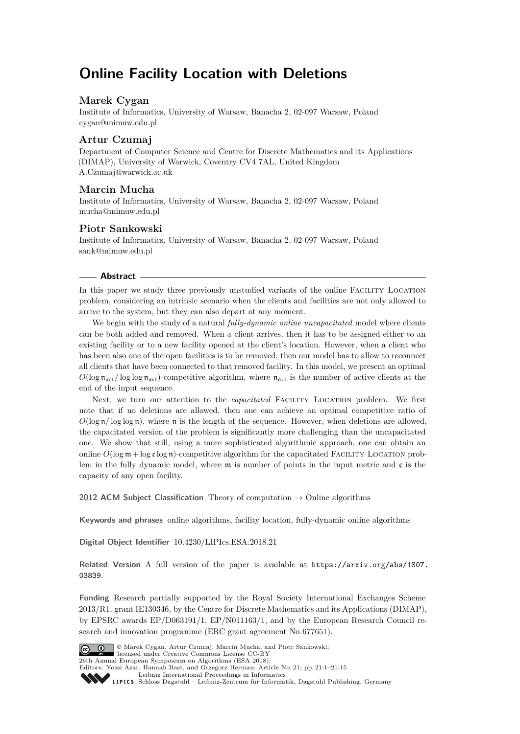# **Online Facility Location with Deletions**

# **Marek Cygan**

Institute of Informatics, University of Warsaw, Banacha 2, 02-097 Warsaw, Poland [cygan@mimuw.edu.pl](mailto:cygan@mimuw.edu.pl)

# **Artur Czumaj**

Department of Computer Science and Centre for Discrete Mathematics and its Applications (DIMAP), University of Warwick, Coventry CV4 7AL, United Kingdom [A.Czumaj@warwick.ac.uk](mailto:A.Czumaj@warwick.ac.uk)

# **Marcin Mucha**

Institute of Informatics, University of Warsaw, Banacha 2, 02-097 Warsaw, Poland [mucha@mimuw.edu.pl](mailto:mucha@mimuw.edu.pl)

# **Piotr Sankowski**

Institute of Informatics, University of Warsaw, Banacha 2, 02-097 Warsaw, Poland [sank@mimuw.edu.pl](mailto:sank@mimuw.edu.pl)

### **Abstract**

In this paper we study three previously unstudied variants of the online Facility Location problem, considering an intrinsic scenario when the clients and facilities are not only allowed to arrive to the system, but they can also depart at any moment.

We begin with the study of a natural *fully-dynamic online uncapacitated* model where clients can be both added and removed. When a client arrives, then it has to be assigned either to an existing facility or to a new facility opened at the client's location. However, when a client who has been also one of the open facilities is to be removed, then our model has to allow to reconnect all clients that have been connected to that removed facility. In this model, we present an optimal  $O(\log n_{\text{act}}/\log \log n_{\text{act}})$ -competitive algorithm, where  $n_{\text{act}}$  is the number of active clients at the end of the input sequence.

Next, we turn our attention to the *capacitated* FACILITY LOCATION problem. We first note that if no deletions are allowed, then one can achieve an optimal competitive ratio of  $O(\log n / \log \log n)$ , where n is the length of the sequence. However, when deletions are allowed, the capacitated version of the problem is significantly more challenging than the uncapacitated one. We show that still, using a more sophisticated algorithmic approach, one can obtain an online  $O(\log m + \log \varepsilon \log n)$ -competitive algorithm for the capacitated FACILITY LOCATION problem in the fully dynamic model, where  $\mathfrak m$  is number of points in the input metric and  $\mathfrak c$  is the capacity of any open facility.

**2012 ACM Subject Classification** Theory of computation → Online algorithms

**Keywords and phrases** online algorithms, facility location, fully-dynamic online algorithms

**Digital Object Identifier** [10.4230/LIPIcs.ESA.2018.21](http://dx.doi.org/10.4230/LIPIcs.ESA.2018.21)

**Related Version** A full version of the paper is available at [https://arxiv.org/abs/1807.](https://arxiv.org/abs/1807.03839) [03839](https://arxiv.org/abs/1807.03839).

**Funding** Research partially supported by the Royal Society International Exchanges Scheme 2013/R1, grant IE130346, by the Centre for Discrete Mathematics and its Applications (DIMAP), by EPSRC awards EP/D063191/1, EP/N011163/1, and by the European Research Council research and innovation programme (ERC grant agreement No 677651).



26th Annual European Symposium on Algorithms (ESA 2018). Editors: Yossi Azar, Hannah Bast, and Grzegorz Herman; Article No. 21; pp. 21:1–21[:15](#page-14-0)

[Leibniz International Proceedings in Informatics](http://www.dagstuhl.de/lipics/)

licensed under Creative Commons License CC-BY

Leibniz International Froceedings in Informatik, Dagstuhl Publishing, Germany<br>LIPICS [Schloss Dagstuhl – Leibniz-Zentrum für Informatik, Dagstuhl Publishing, Germany](http://www.dagstuhl.de)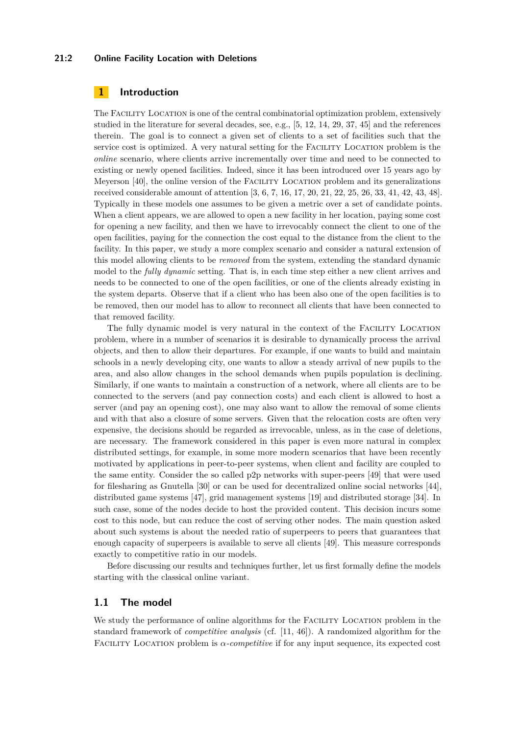#### **21:2 Online Facility Location with Deletions**

# **1 Introduction**

The Facility Location is one of the central combinatorial optimization problem, extensively studied in the literature for several decades, see, e.g., [\[5,](#page-12-0) [12,](#page-12-1) [14,](#page-12-2) [29,](#page-13-0) [37,](#page-14-1) [45\]](#page-14-2) and the references therein. The goal is to connect a given set of clients to a set of facilities such that the service cost is optimized. A very natural setting for the Facility Location problem is the *online* scenario, where clients arrive incrementally over time and need to be connected to existing or newly opened facilities. Indeed, since it has been introduced over 15 years ago by Meyerson [\[40\]](#page-14-3), the online version of the FACILITY LOCATION problem and its generalizations received considerable amount of attention [\[3,](#page-12-3) [6,](#page-12-4) [7,](#page-12-5) [16,](#page-12-6) [17,](#page-13-1) [20,](#page-13-2) [21,](#page-13-3) [22,](#page-13-4) [25,](#page-13-5) [26,](#page-13-6) [33,](#page-13-7) [41,](#page-14-4) [42,](#page-14-5) [43,](#page-14-6) [48\]](#page-14-7). Typically in these models one assumes to be given a metric over a set of candidate points. When a client appears, we are allowed to open a new facility in her location, paying some cost for opening a new facility, and then we have to irrevocably connect the client to one of the open facilities, paying for the connection the cost equal to the distance from the client to the facility. In this paper, we study a more complex scenario and consider a natural extension of this model allowing clients to be *removed* from the system, extending the standard dynamic model to the *fully dynamic* setting. That is, in each time step either a new client arrives and needs to be connected to one of the open facilities, or one of the clients already existing in the system departs. Observe that if a client who has been also one of the open facilities is to be removed, then our model has to allow to reconnect all clients that have been connected to that removed facility.

The fully dynamic model is very natural in the context of the Facility Location problem, where in a number of scenarios it is desirable to dynamically process the arrival objects, and then to allow their departures. For example, if one wants to build and maintain schools in a newly developing city, one wants to allow a steady arrival of new pupils to the area, and also allow changes in the school demands when pupils population is declining. Similarly, if one wants to maintain a construction of a network, where all clients are to be connected to the servers (and pay connection costs) and each client is allowed to host a server (and pay an opening cost), one may also want to allow the removal of some clients and with that also a closure of some servers. Given that the relocation costs are often very expensive, the decisions should be regarded as irrevocable, unless, as in the case of deletions, are necessary. The framework considered in this paper is even more natural in complex distributed settings, for example, in some more modern scenarios that have been recently motivated by applications in peer-to-peer systems, when client and facility are coupled to the same entity. Consider the so called p2p networks with super-peers [\[49\]](#page-14-8) that were used for filesharing as Gnutella [\[30\]](#page-13-8) or can be used for decentralized online social networks [\[44\]](#page-14-9), distributed game systems [\[47\]](#page-14-10), grid management systems [\[19\]](#page-13-9) and distributed storage [\[34\]](#page-14-11). In such case, some of the nodes decide to host the provided content. This decision incurs some cost to this node, but can reduce the cost of serving other nodes. The main question asked about such systems is about the needed ratio of superpeers to peers that guarantees that enough capacity of superpeers is available to serve all clients [\[49\]](#page-14-8). This measure corresponds exactly to competitive ratio in our models.

Before discussing our results and techniques further, let us first formally define the models starting with the classical online variant.

# **1.1 The model**

We study the performance of online algorithms for the FACILITY LOCATION problem in the standard framework of *competitive analysis* (cf. [\[11,](#page-12-7) [46\]](#page-14-12)). A randomized algorithm for the Facility Location problem is *α-competitive* if for any input sequence, its expected cost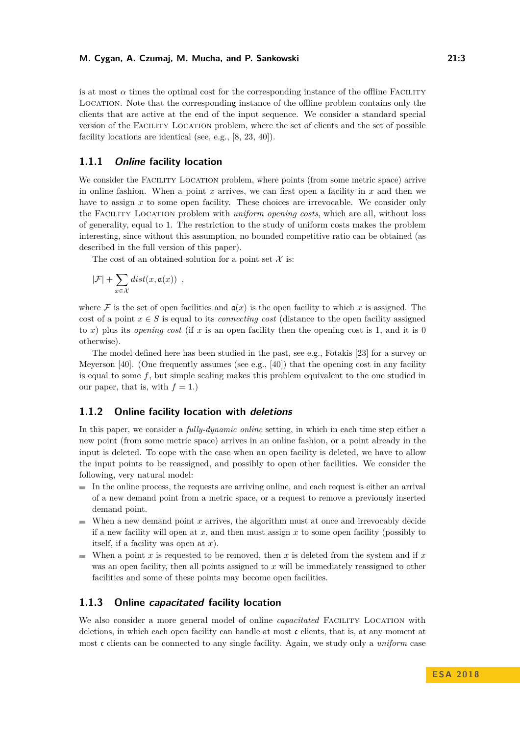is at most  $\alpha$  times the optimal cost for the corresponding instance of the offline FACILITY Location. Note that the corresponding instance of the offline problem contains only the clients that are active at the end of the input sequence. We consider a standard special version of the Facility Location problem, where the set of clients and the set of possible facility locations are identical (see, e.g., [\[8,](#page-12-8) [23,](#page-13-10) [40\]](#page-14-3)).

# **1.1.1 Online facility location**

We consider the FACILITY LOCATION problem, where points (from some metric space) arrive in online fashion. When a point *x* arrives, we can first open a facility in *x* and then we have to assign x to some open facility. These choices are irrevocable. We consider only the Facility Location problem with *uniform opening costs*, which are all, without loss of generality, equal to 1. The restriction to the study of uniform costs makes the problem interesting, since without this assumption, no bounded competitive ratio can be obtained (as described in the full version of this paper).

The cost of an obtained solution for a point set  $\mathcal X$  is:

$$
|\mathcal{F}| + \sum_{x \in \mathcal{X}} dist(x, \mathfrak{a}(x)) ,
$$

where F is the set of open facilities and  $a(x)$  is the open facility to which x is assigned. The cost of a point  $x \in S$  is equal to its *connecting cost* (distance to the open facility assigned to  $x$ ) plus its *opening cost* (if  $x$  is an open facility then the opening cost is 1, and it is 0 otherwise).

The model defined here has been studied in the past, see e.g., Fotakis [\[23\]](#page-13-10) for a survey or Meyerson [\[40\]](#page-14-3). (One frequently assumes (see e.g., [40]) that the opening cost in any facility is equal to some *f*, but simple scaling makes this problem equivalent to the one studied in our paper, that is, with  $f = 1$ .)

### **1.1.2 Online facility location with deletions**

In this paper, we consider a *fully-dynamic online* setting, in which in each time step either a new point (from some metric space) arrives in an online fashion, or a point already in the input is deleted. To cope with the case when an open facility is deleted, we have to allow the input points to be reassigned, and possibly to open other facilities. We consider the following, very natural model:

- $\blacksquare$  In the online process, the requests are arriving online, and each request is either an arrival of a new demand point from a metric space, or a request to remove a previously inserted demand point.
- When a new demand point  $x$  arrives, the algorithm must at once and irrevocably decide if a new facility will open at *x*, and then must assign *x* to some open facility (possibly to itself, if a facility was open at *x*).
- When a point *x* is requested to be removed, then *x* is deleted from the system and if  $x$ was an open facility, then all points assigned to *x* will be immediately reassigned to other facilities and some of these points may become open facilities.

### **1.1.3 Online capacitated facility location**

We also consider a more general model of online *capacitated* FACILITY LOCATION with deletions, in which each open facility can handle at most c clients, that is, at any moment at most c clients can be connected to any single facility. Again, we study only a *uniform* case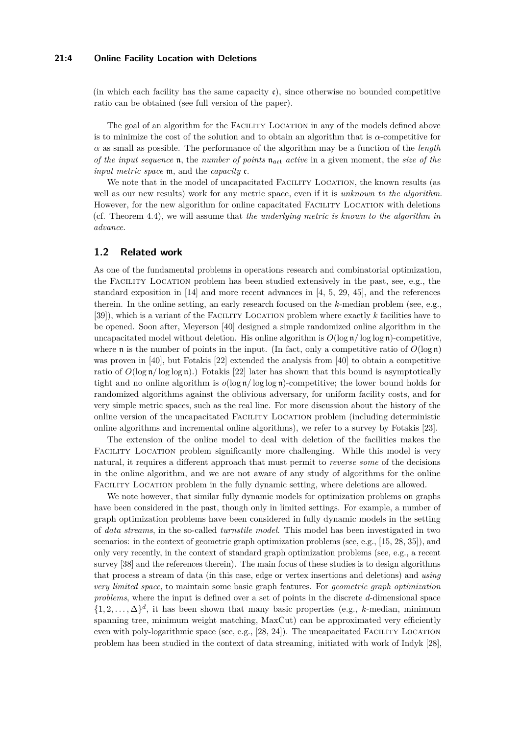#### **21:4 Online Facility Location with Deletions**

(in which each facility has the same capacity  $\mathfrak{c}$ ), since otherwise no bounded competitive ratio can be obtained (see full version of the paper).

The goal of an algorithm for the FACILITY LOCATION in any of the models defined above is to minimize the cost of the solution and to obtain an algorithm that is *α*-competitive for *α* as small as possible. The performance of the algorithm may be a function of the *length of the input sequence* **n**, the *number of points*  $\mathbf{n}_{\text{act}}$  *active* in a given moment, the *size of the input metric space* m, and the *capacity* c.

We note that in the model of uncapacitated FACILITY LOCATION, the known results (as well as our new results) work for any metric space, even if it is *unknown to the algorithm*. However, for the new algorithm for online capacitated Facility Location with deletions (cf. Theorem [4.4\)](#page-11-0), we will assume that *the underlying metric is known to the algorithm in advance*.

### **1.2 Related work**

As one of the fundamental problems in operations research and combinatorial optimization, the Facility Location problem has been studied extensively in the past, see, e.g., the standard exposition in [\[14\]](#page-12-2) and more recent advances in [\[4,](#page-12-9) [5,](#page-12-0) [29,](#page-13-0) [45\]](#page-14-2), and the references therein. In the online setting, an early research focused on the *k*-median problem (see, e.g., [\[39\]](#page-14-13)), which is a variant of the FACILITY LOCATION problem where exactly k facilities have to be opened. Soon after, Meyerson [\[40\]](#page-14-3) designed a simple randomized online algorithm in the uncapacitated model without deletion. His online algorithm is  $O(\log n / \log \log n)$ -competitive, where **n** is the number of points in the input. (In fact, only a competitive ratio of  $O(\log n)$ ) was proven in [\[40\]](#page-14-3), but Fotakis [\[22\]](#page-13-4) extended the analysis from [\[40\]](#page-14-3) to obtain a competitive ratio of  $O(\log n / \log \log n)$ .) Fotakis [\[22\]](#page-13-4) later has shown that this bound is asymptotically tight and no online algorithm is  $o(\log n / \log \log n)$ -competitive; the lower bound holds for randomized algorithms against the oblivious adversary, for uniform facility costs, and for very simple metric spaces, such as the real line. For more discussion about the history of the online version of the uncapacitated Facility Location problem (including deterministic online algorithms and incremental online algorithms), we refer to a survey by Fotakis [\[23\]](#page-13-10).

The extension of the online model to deal with deletion of the facilities makes the FACILITY LOCATION problem significantly more challenging. While this model is very natural, it requires a different approach that must permit to *reverse some* of the decisions in the online algorithm, and we are not aware of any study of algorithms for the online Facility Location problem in the fully dynamic setting, where deletions are allowed.

We note however, that similar fully dynamic models for optimization problems on graphs have been considered in the past, though only in limited settings. For example, a number of graph optimization problems have been considered in fully dynamic models in the setting of *data streams*, in the so-called *turnstile model*. This model has been investigated in two scenarios: in the context of geometric graph optimization problems (see, e.g., [\[15,](#page-12-10) [28,](#page-13-11) [35\]](#page-14-14)), and only very recently, in the context of standard graph optimization problems (see, e.g., a recent survey [\[38\]](#page-14-15) and the references therein). The main focus of these studies is to design algorithms that process a stream of data (in this case, edge or vertex insertions and deletions) and *using very limited space*, to maintain some basic graph features. For *geometric graph optimization problems*, where the input is defined over a set of points in the discrete *d*-dimensional space  $\{1, 2, \ldots, \Delta\}^d$ , it has been shown that many basic properties (e.g., *k*-median, minimum spanning tree, minimum weight matching, MaxCut) can be approximated very efficiently even with poly-logarithmic space (see, e.g., [\[28,](#page-13-11) [24\]](#page-13-12)). The uncapacitated FACILITY LOCATION problem has been studied in the context of data streaming, initiated with work of Indyk [\[28\]](#page-13-11),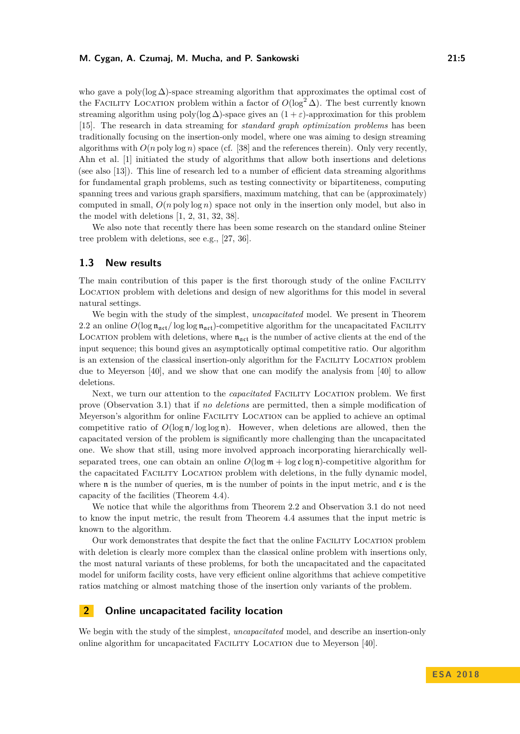who gave a poly( $log \Delta$ )-space streaming algorithm that approximates the optimal cost of the FACILITY LOCATION problem within a factor of  $O(\log^2 \Delta)$ . The best currently known streaming algorithm using poly(log  $\Delta$ )-space gives an  $(1 + \varepsilon)$ -approximation for this problem [\[15\]](#page-12-10). The research in data streaming for *standard graph optimization problems* has been traditionally focusing on the insertion-only model, where one was aiming to design streaming algorithms with  $O(n \text{ poly log } n)$  space (cf. [\[38\]](#page-14-15) and the references therein). Only very recently, Ahn et al. [\[1\]](#page-11-1) initiated the study of algorithms that allow both insertions and deletions (see also [\[13\]](#page-12-11)). This line of research led to a number of efficient data streaming algorithms for fundamental graph problems, such as testing connectivity or bipartiteness, computing spanning trees and various graph sparsifiers, maximum matching, that can be (approximately) computed in small, *O*(*n* poly log *n*) space not only in the insertion only model, but also in the model with deletions [\[1,](#page-11-1) [2,](#page-12-12) [31,](#page-13-13) [32,](#page-13-14) [38\]](#page-14-15).

We also note that recently there has been some research on the standard online Steiner tree problem with deletions, see e.g., [\[27,](#page-13-15) [36\]](#page-14-16).

# **1.3 New results**

The main contribution of this paper is the first thorough study of the online FACILITY Location problem with deletions and design of new algorithms for this model in several natural settings.

We begin with the study of the simplest, *uncapacitated* model. We present in Theorem [2.2](#page-6-0) an online  $O(\log n_{\text{act}}/\log \log n_{\text{act}})$ -competitive algorithm for the uncapacitated FACILITY LOCATION problem with deletions, where  $n_{act}$  is the number of active clients at the end of the input sequence; this bound gives an asymptotically optimal competitive ratio. Our algorithm is an extension of the classical insertion-only algorithm for the Facility Location problem due to Meyerson [\[40\]](#page-14-3), and we show that one can modify the analysis from [\[40\]](#page-14-3) to allow deletions.

Next, we turn our attention to the *capacitated* Facility Location problem. We first prove (Observation [3.1\)](#page-8-0) that if *no deletions* are permitted, then a simple modification of Meyerson's algorithm for online Facility Location can be applied to achieve an optimal competitive ratio of  $O(\log n / \log \log n)$ . However, when deletions are allowed, then the capacitated version of the problem is significantly more challenging than the uncapacitated one. We show that still, using more involved approach incorporating hierarchically wellseparated trees, one can obtain an online  $O(\log m + \log \epsilon \log n)$ -competitive algorithm for the capacitated FACILITY LOCATION problem with deletions, in the fully dynamic model, where  $\mathfrak n$  is the number of queries,  $\mathfrak m$  is the number of points in the input metric, and  $\mathfrak c$  is the capacity of the facilities (Theorem [4.4\)](#page-11-0).

We notice that while the algorithms from Theorem [2.2](#page-6-0) and Observation [3.1](#page-8-0) do not need to know the input metric, the result from Theorem [4.4](#page-11-0) assumes that the input metric is known to the algorithm.

Our work demonstrates that despite the fact that the online Facility Location problem with deletion is clearly more complex than the classical online problem with insertions only, the most natural variants of these problems, for both the uncapacitated and the capacitated model for uniform facility costs, have very efficient online algorithms that achieve competitive ratios matching or almost matching those of the insertion only variants of the problem.

# **2 Online uncapacitated facility location**

We begin with the study of the simplest, *uncapacitated* model, and describe an insertion-only online algorithm for uncapacitated Facility Location due to Meyerson [\[40\]](#page-14-3).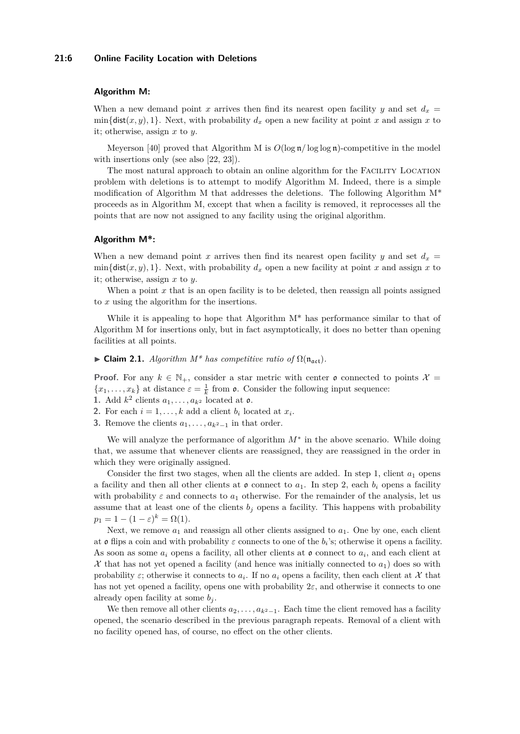#### **21:6 Online Facility Location with Deletions**

#### **Algorithm M:**

When a new demand point *x* arrives then find its nearest open facility *y* and set  $d_x$  =  $\min{\{\text{dist}(x, y), 1\}}$ . Next, with probability  $d_x$  open a new facility at point x and assign x to it; otherwise, assign *x* to *y*.

Meyerson [\[40\]](#page-14-3) proved that Algorithm M is  $O(\log n / \log \log n)$ -competitive in the model with insertions only (see also [\[22,](#page-13-4) [23\]](#page-13-10)).

The most natural approach to obtain an online algorithm for the Facility Location problem with deletions is to attempt to modify Algorithm M. Indeed, there is a simple modification of Algorithm M that addresses the deletions. The following Algorithm M\* proceeds as in Algorithm M, except that when a facility is removed, it reprocesses all the points that are now not assigned to any facility using the original algorithm.

#### **Algorithm M\*:**

When a new demand point *x* arrives then find its nearest open facility *y* and set  $d_x$  $\min{\{\text{dist}(x, y), 1\}}$ . Next, with probability  $d_x$  open a new facility at point *x* and assign *x* to it; otherwise, assign *x* to *y*.

When a point x that is an open facility is to be deleted, then reassign all points assigned to *x* using the algorithm for the insertions.

While it is appealing to hope that Algorithm  $M^*$  has performance similar to that of Algorithm M for insertions only, but in fact asymptotically, it does no better than opening facilities at all points.

<span id="page-5-0"></span> $▶$  **Claim 2.1.** *Algorithm M<sup>\*</sup> has competitive ratio of*  $Ω(n_{\text{act}})$ *.* 

**Proof.** For any  $k \in \mathbb{N}_+$ , consider a star metric with center  $\mathfrak{o}$  connected to points  $\mathcal{X} =$  ${x_1, \ldots, x_k}$  at distance  $\varepsilon = \frac{1}{k}$  from  $\rho$ . Consider the following input sequence:

- **1.** Add  $k^2$  clients  $a_1, \ldots, a_{k^2}$  located at  $\mathfrak{o}$ .
- **2.** For each  $i = 1, \ldots, k$  add a client  $b_i$  located at  $x_i$ .
- **3.** Remove the clients  $a_1, \ldots, a_{k^2-1}$  in that order.

We will analyze the performance of algorithm *M*<sup>∗</sup> in the above scenario. While doing that, we assume that whenever clients are reassigned, they are reassigned in the order in which they were originally assigned.

Consider the first two stages, when all the clients are added. In step 1, client  $a_1$  opens a facility and then all other clients at  $\mathfrak o$  connect to  $a_1$ . In step 2, each  $b_i$  opens a facility with probability  $\varepsilon$  and connects to  $a_1$  otherwise. For the remainder of the analysis, let us assume that at least one of the clients  $b_j$  opens a facility. This happens with probability  $p_1 = 1 - (1 - \varepsilon)^k = \Omega(1).$ 

Next, we remove  $a_1$  and reassign all other clients assigned to  $a_1$ . One by one, each client at  $\mathfrak o$  flips a coin and with probability  $\varepsilon$  connects to one of the  $b_i$ 's; otherwise it opens a facility. As soon as some  $a_i$  opens a facility, all other clients at  $\mathfrak o$  connect to  $a_i$ , and each client at  $\mathcal X$  that has not yet opened a facility (and hence was initially connected to  $a_1$ ) does so with probability  $\varepsilon$ ; otherwise it connects to  $a_i$ . If no  $a_i$  opens a facility, then each client at X that has not yet opened a facility, opens one with probability 2*ε*, and otherwise it connects to one already open facility at some  $b_j$ .

We then remove all other clients  $a_2, \ldots, a_{k^2-1}$ . Each time the client removed has a facility opened, the scenario described in the previous paragraph repeats. Removal of a client with no facility opened has, of course, no effect on the other clients.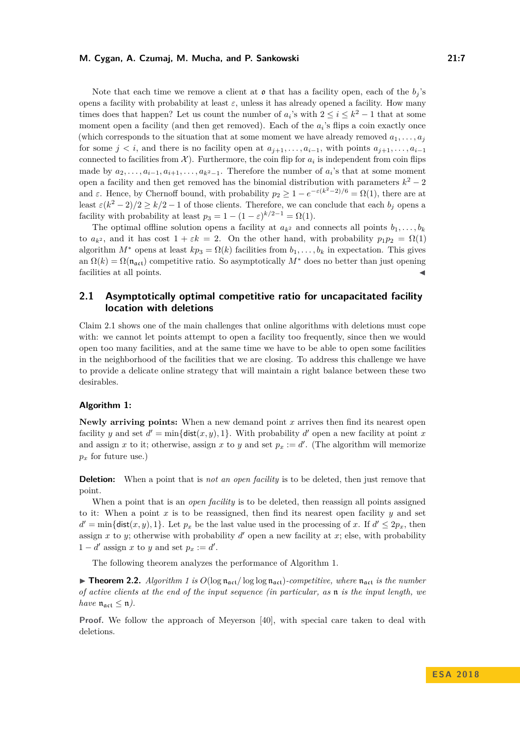Note that each time we remove a client at  $\mathfrak o$  that has a facility open, each of the  $b_i$ 's opens a facility with probability at least  $\varepsilon$ , unless it has already opened a facility. How many times does that happen? Let us count the number of  $a_i$ 's with  $2 \le i \le k^2 - 1$  that at some moment open a facility (and then get removed). Each of the  $a_i$ 's flips a coin exactly once (which corresponds to the situation that at some moment we have already removed  $a_1, \ldots, a_j$ for some  $j < i$ , and there is no facility open at  $a_{i+1}, \ldots, a_{i-1}$ , with points  $a_{i+1}, \ldots, a_{i-1}$ connected to facilities from  $\mathcal{X}$ ). Furthermore, the coin flip for  $a_i$  is independent from coin flips made by  $a_2, \ldots, a_{i-1}, a_{i+1}, \ldots, a_{k^2-1}$ . Therefore the number of  $a_i$ 's that at some moment open a facility and then get removed has the binomial distribution with parameters  $k^2 - 2$ and  $\varepsilon$ . Hence, by Chernoff bound, with probability  $p_2 \geq 1 - e^{-\varepsilon(k^2 - 2)/6} = \Omega(1)$ , there are at least  $\varepsilon(k^2-2)/2 \geq k/2-1$  of those clients. Therefore, we can conclude that each  $b_j$  opens a facility with probability at least  $p_3 = 1 - (1 - \varepsilon)^{k/2 - 1} = \Omega(1)$ .

The optimal offline solution opens a facility at  $a_{k^2}$  and connects all points  $b_1, \ldots, b_k$ to  $a_{k^2}$ , and it has cost  $1 + \varepsilon k = 2$ . On the other hand, with probability  $p_1p_2 = \Omega(1)$ algorithm  $M^*$  opens at least  $kp_3 = \Omega(k)$  facilities from  $b_1, \ldots, b_k$  in expectation. This gives an  $\Omega(k) = \Omega(\mathfrak{n}_{\mathfrak{act}})$  competitive ratio. So asymptotically  $M^*$  does no better than just opening facilities at all points.

# <span id="page-6-1"></span>**2.1 Asymptotically optimal competitive ratio for uncapacitated facility location with deletions**

Claim [2.1](#page-5-0) shows one of the main challenges that online algorithms with deletions must cope with: we cannot let points attempt to open a facility too frequently, since then we would open too many facilities, and at the same time we have to be able to open some facilities in the neighborhood of the facilities that we are closing. To address this challenge we have to provide a delicate online strategy that will maintain a right balance between these two desirables.

#### **Algorithm 1:**

**Newly arriving points:** When a new demand point *x* arrives then find its nearest open facility *y* and set  $d' = \min\{\text{dist}(x, y), 1\}$ . With probability *d*' open a new facility at point *x* and assign *x* to it; otherwise, assign *x* to *y* and set  $p_x := d'$ . (The algorithm will memorize  $p_x$  for future use.)

**Deletion:** When a point that is *not an open facility* is to be deleted, then just remove that point.

When a point that is an *open facility* is to be deleted, then reassign all points assigned to it: When a point x is to be reassigned, then find its nearest open facility  $y$  and set  $d' = \min\{\text{dist}(x, y), 1\}$ . Let  $p_x$  be the last value used in the processing of *x*. If  $d' \leq 2p_x$ , then assign  $x$  to  $y$ ; otherwise with probability  $d'$  open a new facility at  $x$ ; else, with probability  $1 - d'$  assign *x* to *y* and set  $p_x := d'$ .

The following theorem analyzes the performance of Algorithm 1.

<span id="page-6-0"></span>**Findmen 2.2.** *Algorithm 1 is*  $O(\log n_{\text{act}}/\log \log n_{\text{act}})$ *-competitive, where*  $n_{\text{act}}$  *is the number of active clients at the end of the input sequence (in particular, as* n *is the input length, we have*  $\mathfrak{n}_{\mathfrak{act}} \leq \mathfrak{n}$ *).* 

**Proof.** We follow the approach of Meyerson [\[40\]](#page-14-3), with special care taken to deal with deletions.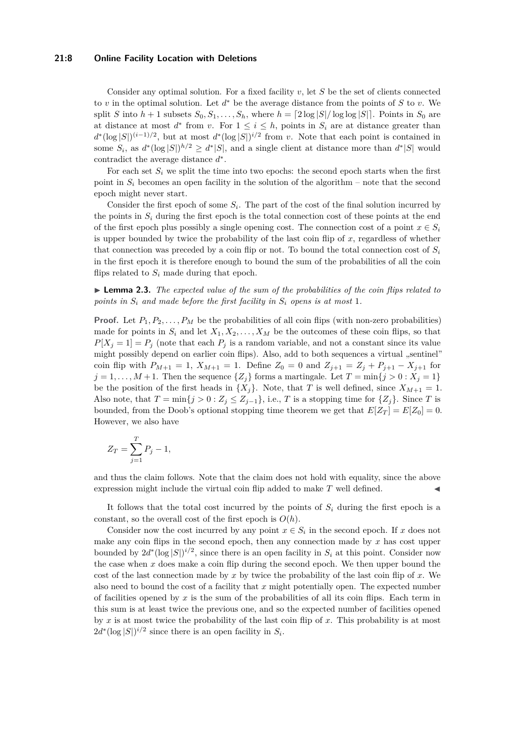#### **21:8 Online Facility Location with Deletions**

Consider any optimal solution. For a fixed facility *v*, let *S* be the set of clients connected to *v* in the optimal solution. Let *d* <sup>∗</sup> be the average distance from the points of *S* to *v*. We split *S* into  $h + 1$  subsets  $S_0, S_1, \ldots, S_h$ , where  $h = \lfloor 2 \log |S| / \log \log |S| \rfloor$ . Points in  $S_0$  are at distance at most  $d^*$  from *v*. For  $1 \leq i \leq h$ , points in  $S_i$  are at distance greater than  $d^*(\log |S|)^{(i-1)/2}$ , but at most  $d^*(\log |S|)^{i/2}$  from *v*. Note that each point is contained in some  $S_i$ , as  $d^*(\log |S|)^{h/2} \ge d^*|S|$ , and a single client at distance more than  $d^*|S|$  would contradict the average distance *d* ∗ .

For each set  $S_i$  we split the time into two epochs: the second epoch starts when the first point in  $S_i$  becomes an open facility in the solution of the algorithm – note that the second epoch might never start.

Consider the first epoch of some  $S_i$ . The part of the cost of the final solution incurred by the points in  $S_i$  during the first epoch is the total connection cost of these points at the end of the first epoch plus possibly a single opening cost. The connection cost of a point  $x \in S_i$ is upper bounded by twice the probability of the last coin flip of *x*, regardless of whether that connection was preceded by a coin flip or not. To bound the total connection cost of  $S_i$ in the first epoch it is therefore enough to bound the sum of the probabilities of all the coin flips related to  $S_i$  made during that epoch.

<span id="page-7-0"></span>I **Lemma 2.3.** *The expected value of the sum of the probabilities of the coin flips related to points in*  $S_i$  *and made before the first facility in*  $S_i$  *opens is at most* 1*.* 

**Proof.** Let  $P_1, P_2, \ldots, P_M$  be the probabilities of all coin flips (with non-zero probabilities) made for points in  $S_i$  and let  $X_1, X_2, \ldots, X_M$  be the outcomes of these coin flips, so that  $P[X_j = 1] = P_j$  (note that each  $P_j$  is a random variable, and not a constant since its value might possibly depend on earlier coin flips). Also, add to both sequences a virtual "sentinel" coin flip with  $P_{M+1} = 1$ ,  $X_{M+1} = 1$ . Define  $Z_0 = 0$  and  $Z_{j+1} = Z_j + P_{j+1} - X_{j+1}$  for  $j = 1, \ldots, M + 1$ . Then the sequence  $\{Z_j\}$  forms a martingale. Let  $T = \min\{j > 0 : X_j = 1\}$ be the position of the first heads in  $\{X_i\}$ . Note, that *T* is well defined, since  $X_{M+1} = 1$ . Also note, that  $T = \min\{j > 0 : Z_j \le Z_{j-1}\}$ , i.e., *T* is a stopping time for  $\{Z_j\}$ . Since *T* is bounded, from the Doob's optional stopping time theorem we get that  $E[Z_T] = E[Z_0] = 0$ . However, we also have

$$
Z_T = \sum_{j=1}^T P_j - 1,
$$

and thus the claim follows. Note that the claim does not hold with equality, since the above expression might include the virtual coin flip added to make *T* well defined.

It follows that the total cost incurred by the points of *S<sup>i</sup>* during the first epoch is a constant, so the overall cost of the first epoch is  $O(h)$ .

Consider now the cost incurred by any point  $x \in S_i$  in the second epoch. If *x* does not make any coin flips in the second epoch, then any connection made by  $x$  has cost upper bounded by  $2d^*(\log |S|)^{i/2}$ , since there is an open facility in  $S_i$  at this point. Consider now the case when *x* does make a coin flip during the second epoch. We then upper bound the cost of the last connection made by *x* by twice the probability of the last coin flip of *x*. We also need to bound the cost of a facility that *x* might potentially open. The expected number of facilities opened by  $x$  is the sum of the probabilities of all its coin flips. Each term in this sum is at least twice the previous one, and so the expected number of facilities opened by *x* is at most twice the probability of the last coin flip of *x*. This probability is at most  $2d^*(\log |S|)^{i/2}$  since there is an open facility in  $S_i$ .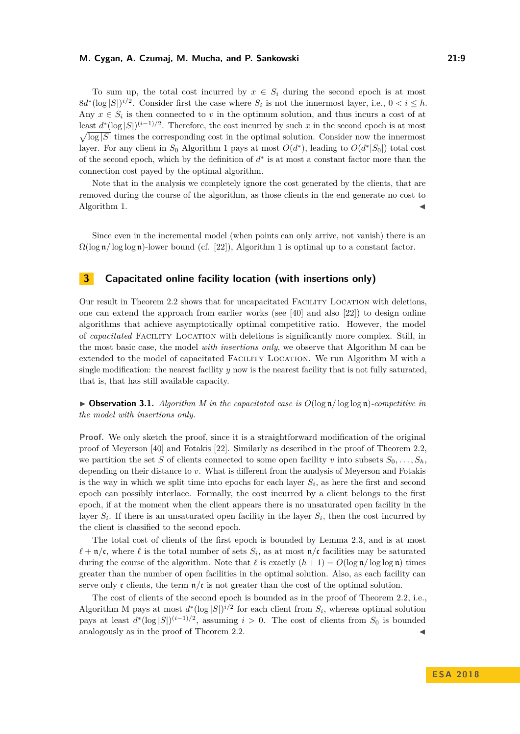To sum up, the total cost incurred by  $x \in S_i$  during the second epoch is at most  $8d^*(\log |S|)^{i/2}$ . Consider first the case where  $S_i$  is not the innermost layer, i.e.,  $0 < i \leq h$ . Any  $x \in S_i$  is then connected to *v* in the optimum solution, and thus incurs a cost of at least  $d^*(\log |S|)^{(i-1)/2}$ . Therefore, the cost incurred by such x in the second epoch is at most  $\sqrt{\log |S|}$  times the corresponding cost in the optimal solution. Consider now the innermost layer. For any client in  $S_0$  Algorithm 1 pays at most  $O(d^*)$ , leading to  $O(d^*|S_0|)$  total cost of the second epoch, which by the definition of  $d^*$  is at most a constant factor more than the connection cost payed by the optimal algorithm.

Note that in the analysis we completely ignore the cost generated by the clients, that are removed during the course of the algorithm, as those clients in the end generate no cost to Algorithm 1.

Since even in the incremental model (when points can only arrive, not vanish) there is an  $\Omega(\log n/\log \log n)$ -lower bound (cf. [\[22\]](#page-13-4)), Algorithm 1 is optimal up to a constant factor.

# <span id="page-8-1"></span>**3 Capacitated online facility location (with insertions only)**

Our result in Theorem [2.2](#page-6-0) shows that for uncapacitated Facility Location with deletions, one can extend the approach from earlier works (see [\[40\]](#page-14-3) and also [\[22\]](#page-13-4)) to design online algorithms that achieve asymptotically optimal competitive ratio. However, the model of *capacitated* Facility Location with deletions is significantly more complex. Still, in the most basic case, the model *with insertions only*, we observe that Algorithm M can be extended to the model of capacitated Facility Location. We run Algorithm M with a single modification: the nearest facility *y* now is the nearest facility that is not fully saturated, that is, that has still available capacity.

<span id="page-8-0"></span> $\triangleright$  **Observation 3.1.** *Algorithm M in the capacitated case is*  $O(\log n / \log \log n)$ *-competitive in the model with insertions only.*

Proof. We only sketch the proof, since it is a straightforward modification of the original proof of Meyerson [\[40\]](#page-14-3) and Fotakis [\[22\]](#page-13-4). Similarly as described in the proof of Theorem [2.2,](#page-6-0) we partition the set *S* of clients connected to some open facility *v* into subsets  $S_0, \ldots, S_h$ depending on their distance to *v*. What is different from the analysis of Meyerson and Fotakis is the way in which we split time into epochs for each layer  $S_i$ , as here the first and second epoch can possibly interlace. Formally, the cost incurred by a client belongs to the first epoch, if at the moment when the client appears there is no unsaturated open facility in the layer  $S_i$ . If there is an unsaturated open facility in the layer  $S_i$ , then the cost incurred by the client is classified to the second epoch.

The total cost of clients of the first epoch is bounded by Lemma [2.3,](#page-7-0) and is at most  $\ell + \mathfrak{n}/\mathfrak{c}$ , where  $\ell$  is the total number of sets  $S_i$ , as at most  $\mathfrak{n}/\mathfrak{c}$  facilities may be saturated during the course of the algorithm. Note that  $\ell$  is exactly  $(h + 1) = O(\log n / \log \log n)$  times greater than the number of open facilities in the optimal solution. Also, as each facility can serve only c clients, the term  $n/c$  is not greater than the cost of the optimal solution.

The cost of clients of the second epoch is bounded as in the proof of Theorem [2.2,](#page-6-0) i.e., Algorithm M pays at most  $d^*(\log |S|)^{i/2}$  for each client from  $S_i$ , whereas optimal solution pays at least  $d^*(\log |S|)^{(i-1)/2}$ , assuming  $i > 0$ . The cost of clients from  $S_0$  is bounded analogously as in the proof of Theorem [2.2.](#page-6-0)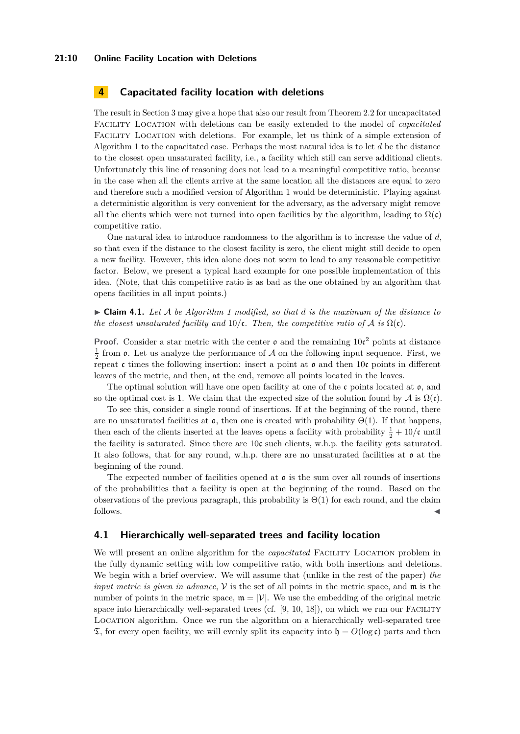# **4 Capacitated facility location with deletions**

The result in Section [3](#page-8-1) may give a hope that also our result from Theorem [2.2](#page-6-0) for uncapacitated Facility Location with deletions can be easily extended to the model of *capacitated* Facility Location with deletions. For example, let us think of a simple extension of Algorithm 1 to the capacitated case. Perhaps the most natural idea is to let *d* be the distance to the closest open unsaturated facility, i.e., a facility which still can serve additional clients. Unfortunately this line of reasoning does not lead to a meaningful competitive ratio, because in the case when all the clients arrive at the same location all the distances are equal to zero and therefore such a modified version of Algorithm 1 would be deterministic. Playing against a deterministic algorithm is very convenient for the adversary, as the adversary might remove all the clients which were not turned into open facilities by the algorithm, leading to  $\Omega(\mathfrak{c})$ competitive ratio.

One natural idea to introduce randomness to the algorithm is to increase the value of *d*, so that even if the distance to the closest facility is zero, the client might still decide to open a new facility. However, this idea alone does not seem to lead to any reasonable competitive factor. Below, we present a typical hard example for one possible implementation of this idea. (Note, that this competitive ratio is as bad as the one obtained by an algorithm that opens facilities in all input points.)

 $\triangleright$  **Claim 4.1.** Let A be Algorithm 1 modified, so that d is the maximum of the distance to *the closest unsaturated facility and*  $10/\mathfrak{c}$ *. Then, the competitive ratio of* A *is*  $\Omega(\mathfrak{c})$ *.* 

**Proof.** Consider a star metric with the center  $\rho$  and the remaining  $10c^2$  points at distance  $\frac{1}{2}$  from  $\mathfrak{o}$ . Let us analyze the performance of A on the following input sequence. First, we repeat c times the following insertion: insert a point at  $\mathfrak o$  and then 10c points in different leaves of the metric, and then, at the end, remove all points located in the leaves.

The optimal solution will have one open facility at one of the  $\mathfrak c$  points located at  $\mathfrak o$ , and so the optimal cost is 1. We claim that the expected size of the solution found by  $\mathcal A$  is  $\Omega(\mathfrak{c})$ .

To see this, consider a single round of insertions. If at the beginning of the round, there are no unsaturated facilities at  $\mathfrak{o}$ , then one is created with probability  $\Theta(1)$ . If that happens, then each of the clients inserted at the leaves opens a facility with probability  $\frac{1}{2} + 10/\mathfrak{c}$  until the facility is saturated. Since there are 10c such clients, w.h.p. the facility gets saturated. It also follows, that for any round, w.h.p. there are no unsaturated facilities at  $\rho$  at the beginning of the round.

The expected number of facilities opened at  $\mathfrak o$  is the sum over all rounds of insertions of the probabilities that a facility is open at the beginning of the round. Based on the observations of the previous paragraph, this probability is  $\Theta(1)$  for each round, and the claim follows.

### **4.1 Hierarchically well-separated trees and facility location**

We will present an online algorithm for the *capacitated* FACILITY LOCATION problem in the fully dynamic setting with low competitive ratio, with both insertions and deletions. We begin with a brief overview. We will assume that (unlike in the rest of the paper) *the input metric is given in advance*, V is the set of all points in the metric space, and m is the number of points in the metric space,  $\mathfrak{m} = |V|$ . We use the embedding of the original metric space into hierarchically well-separated trees (cf.  $[9, 10, 18]$  $[9, 10, 18]$  $[9, 10, 18]$  $[9, 10, 18]$  $[9, 10, 18]$ ), on which we run our FACILITY Location algorithm. Once we run the algorithm on a hierarchically well-separated tree  $\mathfrak{T}$ , for every open facility, we will evenly split its capacity into  $\mathfrak{h} = O(\log \mathfrak{c})$  parts and then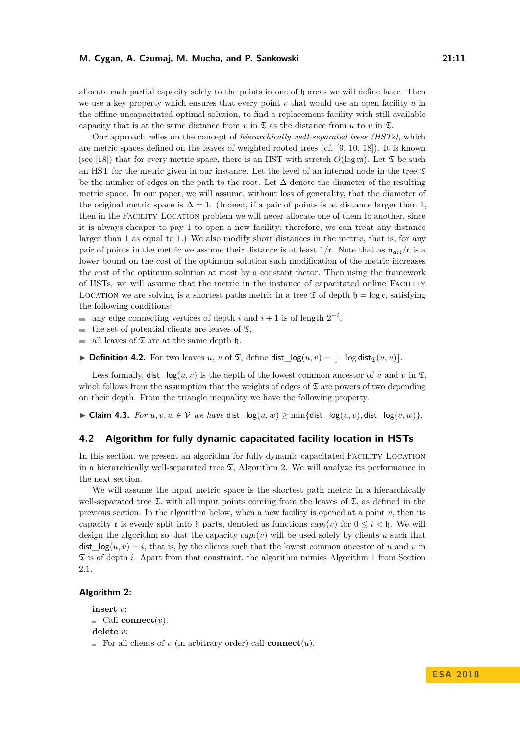allocate each partial capacity solely to the points in one of h areas we will define later. Then we use a key property which ensures that every point *v* that would use an open facility *u* in the offline uncapacitated optimal solution, to find a replacement facility with still available capacity that is at the same distance from *v* in  $\mathfrak{T}$  as the distance from *u* to *v* in  $\mathfrak{T}$ .

Our approach relies on the concept of *hierarchically well-separated trees (HSTs)*, which are metric spaces defined on the leaves of weighted rooted trees (cf. [\[9,](#page-12-13) [10,](#page-12-14) [18\]](#page-13-16)). It is known (see [\[18\]](#page-13-16)) that for every metric space, there is an HST with stretch  $O(\log m)$ . Let  $\mathfrak T$  be such an HST for the metric given in our instance. Let the level of an internal node in the tree  $\mathfrak T$ be the number of edges on the path to the root. Let  $\Delta$  denote the diameter of the resulting metric space. In our paper, we will assume, without loss of generality, that the diameter of the original metric space is  $\Delta = 1$ . (Indeed, if a pair of points is at distance larger than 1, then in the Facility Location problem we will never allocate one of them to another, since it is always cheaper to pay 1 to open a new facility; therefore, we can treat any distance larger than 1 as equal to 1.) We also modify short distances in the metric, that is, for any pair of points in the metric we assume their distance is at least  $1/c$ . Note that as  $n_{\text{act}}/c$  is a lower bound on the cost of the optimum solution such modification of the metric increases the cost of the optimum solution at most by a constant factor. Then using the framework of HSTs, we will assume that the metric in the instance of capacitated online Facility LOCATION we are solving is a shortest paths metric in a tree  $\mathfrak T$  of depth  $\mathfrak h = \log \mathfrak c$ , satisfying the following conditions:

- any edge connecting vertices of depth *i* and  $i + 1$  is of length  $2^{-i}$ ,
- the set of potential clients are leaves of  $\mathfrak{T}$ , m.
- all leaves of  $\mathfrak T$  are at the same depth  $\mathfrak h$ .  $\mathbf{r}$

 $\triangleright$  **Definition 4.2.** For two leaves *u*, *v* of  $\mathfrak{T}$ , define dist\_log(*u*, *v*) =  $\vert$  − log dist<sub> $\mathfrak{T}(u, v)\vert$ </sub>.

Less formally,  $dist\_\mathrm{log}(u, v)$  is the depth of the lowest common ancestor of *u* and *v* in  $\mathfrak{T}$ . which follows from the assumption that the weights of edges of  $\mathfrak T$  are powers of two depending on their depth. From the triangle inequality we have the following property.

► Claim 4.3. *For*  $u, v, w \in V$  *we have* dist  $log(u, w) > min\{dist \log(u, v), dist \log(v, w)\}.$ 

# **4.2 Algorithm for fully dynamic capacitated facility location in HSTs**

In this section, we present an algorithm for fully dynamic capacitated Facility Location in a hierarchically well-separated tree  $\mathfrak{T}$ , Algorithm 2. We will analyze its performance in the next section.

We will assume the input metric space is the shortest path metric in a hierarchically well-separated tree  $\mathfrak T$ , with all input points coming from the leaves of  $\mathfrak T$ , as defined in the previous section. In the algorithm below, when a new facility is opened at a point *v*, then its capacity c is evenly split into h parts, denoted as functions  $cap_i(v)$  for  $0 \le i \le h$ . We will design the algorithm so that the capacity  $cap_i(v)$  will be used solely by clients *u* such that dist  $log(u, v) = i$ , that is, by the clients such that the lowest common ancestor of *u* and *v* in T is of depth *i*. Apart from that constraint, the algorithm mimics Algorithm 1 from Section [2.1.](#page-6-1)

### **Algorithm 2:**

```
insert v:
\blacksquare Call connect(v).
delete v:
For all clients of v (in arbitrary order) call connect(u).
```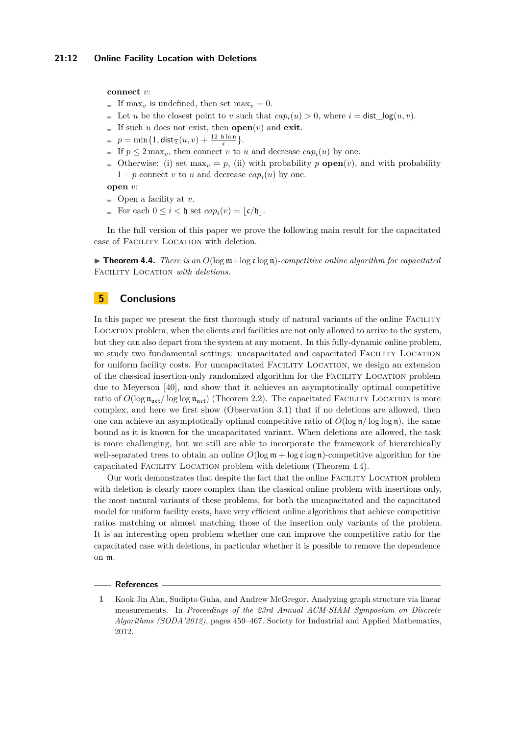**connect** *v*:

- If max<sub>*v*</sub> is undefined, then set max<sub>*v*</sub> = 0.
- Let *u* be the closest point to *v* such that  $cap_i(u) > 0$ , where  $i = \text{dist } log(u, v)$ .
- If such *u* does not exist, then **open** $(v)$  and **exit**.
- $p = \min\{1, \textsf{dist}_\mathfrak{T}(u,v) + \frac{12 \ \mathfrak{h} \ln \mathfrak{n}}{\mathfrak{c}}\}.$
- If  $p \leq 2 \max_v$ , then connect *v* to *u* and decrease  $cap_i(u)$  by one.
- Otherwise: (i) set  $\max_{v} = p$ , (ii) with probability *p* **open** $(v)$ , and with probability  $1-p$  connect *v* to *u* and decrease  $cap_i(u)$  by one.

**open** *v*:

- $\blacksquare$  Open a facility at *v*.
- For each  $0 \leq i < \mathfrak{h}$  set  $cap_i(v) = |\mathfrak{c}/\mathfrak{h}|$ .

In the full version of this paper we prove the following main result for the capacitated case of Facility Location with deletion.

<span id="page-11-0"></span>**Integration 4.4.** There is an  $O(\log m + \log c \log n)$ -competitive online algorithm for capacitated Facility Location *with deletions.*

# **5 Conclusions**

In this paper we present the first thorough study of natural variants of the online FACILITY Location problem, when the clients and facilities are not only allowed to arrive to the system, but they can also depart from the system at any moment. In this fully-dynamic online problem, we study two fundamental settings: uncapacitated and capacitated FACILITY LOCATION for uniform facility costs. For uncapacitated Facility Location, we design an extension of the classical insertion-only randomized algorithm for the Facility Location problem due to Meyerson [\[40\]](#page-14-3), and show that it achieves an asymptotically optimal competitive ratio of  $O(\log n_{\text{act}}/\log \log n_{\text{act}})$  (Theorem [2.2\)](#page-6-0). The capacitated FACILITY LOCATION is more complex, and here we first show (Observation [3.1\)](#page-8-0) that if no deletions are allowed, then one can achieve an asymptotically optimal competitive ratio of  $O(\log n / \log \log n)$ , the same bound as it is known for the uncapacitated variant. When deletions are allowed, the task is more challenging, but we still are able to incorporate the framework of hierarchically well-separated trees to obtain an online  $O(\log m + \log \mathfrak{c} \log n)$ -competitive algorithm for the capacitated Facility Location problem with deletions (Theorem [4.4\)](#page-11-0).

Our work demonstrates that despite the fact that the online Facility Location problem with deletion is clearly more complex than the classical online problem with insertions only, the most natural variants of these problems, for both the uncapacitated and the capacitated model for uniform facility costs, have very efficient online algorithms that achieve competitive ratios matching or almost matching those of the insertion only variants of the problem. It is an interesting open problem whether one can improve the competitive ratio for the capacitated case with deletions, in particular whether it is possible to remove the dependence on m.

#### **References**

<span id="page-11-1"></span>**<sup>1</sup>** Kook Jin Ahn, Sudipto Guha, and Andrew McGregor. Analyzing graph structure via linear measurements. In *Proceedings of the 23rd Annual ACM-SIAM Symposium on Discrete Algorithms (SODA'2012)*, pages 459–467. Society for Industrial and Applied Mathematics, 2012.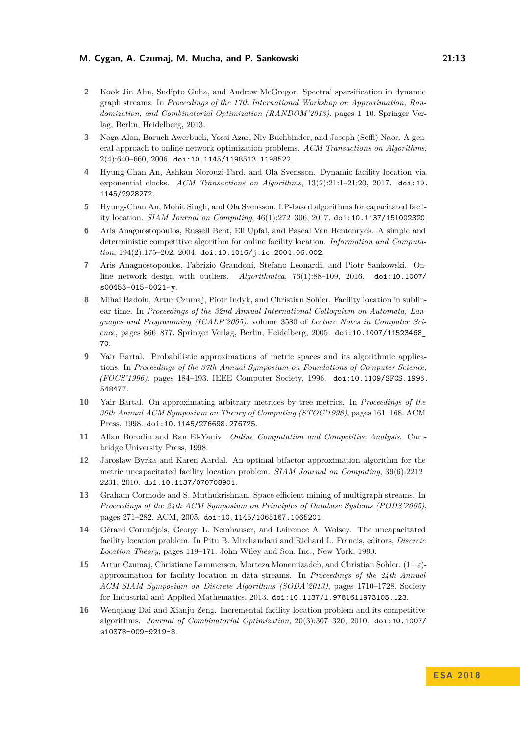- <span id="page-12-12"></span>**2** Kook Jin Ahn, Sudipto Guha, and Andrew McGregor. Spectral sparsification in dynamic graph streams. In *Proceedings of the 17th International Workshop on Approximation, Randomization, and Combinatorial Optimization (RANDOM'2013)*, pages 1–10. Springer Verlag, Berlin, Heidelberg, 2013.
- <span id="page-12-3"></span>**3** Noga Alon, Baruch Awerbuch, Yossi Azar, Niv Buchbinder, and Joseph (Seffi) Naor. A general approach to online network optimization problems. *ACM Transactions on Algorithms*, 2(4):640–660, 2006. [doi:10.1145/1198513.1198522](http://dx.doi.org/10.1145/1198513.1198522).
- <span id="page-12-9"></span>**4** Hyung-Chan An, Ashkan Norouzi-Fard, and Ola Svensson. Dynamic facility location via exponential clocks. *ACM Transactions on Algorithms*, 13(2):21:1–21:20, 2017. [doi:10.](http://dx.doi.org/10.1145/2928272) [1145/2928272](http://dx.doi.org/10.1145/2928272).
- <span id="page-12-0"></span>**5** Hyung-Chan An, Mohit Singh, and Ola Svensson. LP-based algorithms for capacitated facility location. *SIAM Journal on Computing*, 46(1):272–306, 2017. [doi:10.1137/151002320](http://dx.doi.org/10.1137/151002320).
- <span id="page-12-4"></span>**6** Aris Anagnostopoulos, Russell Bent, Eli Upfal, and Pascal Van Hentenryck. A simple and deterministic competitive algorithm for online facility location. *Information and Computation*, 194(2):175–202, 2004. [doi:10.1016/j.ic.2004.06.002](http://dx.doi.org/10.1016/j.ic.2004.06.002).
- <span id="page-12-5"></span>**7** Aris Anagnostopoulos, Fabrizio Grandoni, Stefano Leonardi, and Piotr Sankowski. Online network design with outliers. *Algorithmica*, 76(1):88–109, 2016. [doi:10.1007/](http://dx.doi.org/10.1007/s00453-015-0021-y) [s00453-015-0021-y](http://dx.doi.org/10.1007/s00453-015-0021-y).
- <span id="page-12-8"></span>**8** Mihai Badoiu, Artur Czumaj, Piotr Indyk, and Christian Sohler. Facility location in sublinear time. In *Proceedings of the 32nd Annual International Colloquium on Automata, Languages and Programming (ICALP'2005)*, volume 3580 of *Lecture Notes in Computer Science*, pages 866–877. Springer Verlag, Berlin, Heidelberg, 2005. [doi:10.1007/11523468\\_](http://dx.doi.org/10.1007/11523468_70) [70](http://dx.doi.org/10.1007/11523468_70).
- <span id="page-12-13"></span>**9** Yair Bartal. Probabilistic approximations of metric spaces and its algorithmic applications. In *Proceedings of the 37th Annual Symposium on Foundations of Computer Science, (FOCS'1996)*, pages 184–193. IEEE Computer Society, 1996. [doi:10.1109/SFCS.1996.](http://dx.doi.org/10.1109/SFCS.1996.548477) [548477](http://dx.doi.org/10.1109/SFCS.1996.548477).
- <span id="page-12-14"></span>**10** Yair Bartal. On approximating arbitrary metrices by tree metrics. In *Proceedings of the 30th Annual ACM Symposium on Theory of Computing (STOC'1998)*, pages 161–168. ACM Press, 1998. [doi:10.1145/276698.276725](http://dx.doi.org/10.1145/276698.276725).
- <span id="page-12-7"></span>**11** Allan Borodin and Ran El-Yaniv. *Online Computation and Competitive Analysis*. Cambridge University Press, 1998.
- <span id="page-12-1"></span>**12** Jaroslaw Byrka and Karen Aardal. An optimal bifactor approximation algorithm for the metric uncapacitated facility location problem. *SIAM Journal on Computing*, 39(6):2212– 2231, 2010. [doi:10.1137/070708901](http://dx.doi.org/10.1137/070708901).
- <span id="page-12-11"></span>**13** Graham Cormode and S. Muthukrishnan. Space efficient mining of multigraph streams. In *Proceedings of the 24th ACM Symposium on Principles of Database Systems (PODS'2005)*, pages 271–282. ACM, 2005. [doi:10.1145/1065167.1065201](http://dx.doi.org/10.1145/1065167.1065201).
- <span id="page-12-2"></span>**14** Gérard Cornuéjols, George L. Nemhauser, and Lairemce A. Wolsey. The uncapacitated facility location problem. In Pitu B. Mirchandani and Richard L. Francis, editors, *Discrete Location Theory*, pages 119–171. John Wiley and Son, Inc., New York, 1990.
- <span id="page-12-10"></span>**15** Artur Czumaj, Christiane Lammersen, Morteza Monemizadeh, and Christian Sohler. (1+*ε*) approximation for facility location in data streams. In *Proceedings of the 24th Annual ACM-SIAM Symposium on Discrete Algorithms (SODA'2013)*, pages 1710–1728. Society for Industrial and Applied Mathematics, 2013. [doi:10.1137/1.9781611973105.123](http://dx.doi.org/10.1137/1.9781611973105.123).
- <span id="page-12-6"></span>**16** Wenqiang Dai and Xianju Zeng. Incremental facility location problem and its competitive algorithms. *Journal of Combinatorial Optimization*, 20(3):307–320, 2010. [doi:10.1007/](http://dx.doi.org/10.1007/s10878-009-9219-8) [s10878-009-9219-8](http://dx.doi.org/10.1007/s10878-009-9219-8).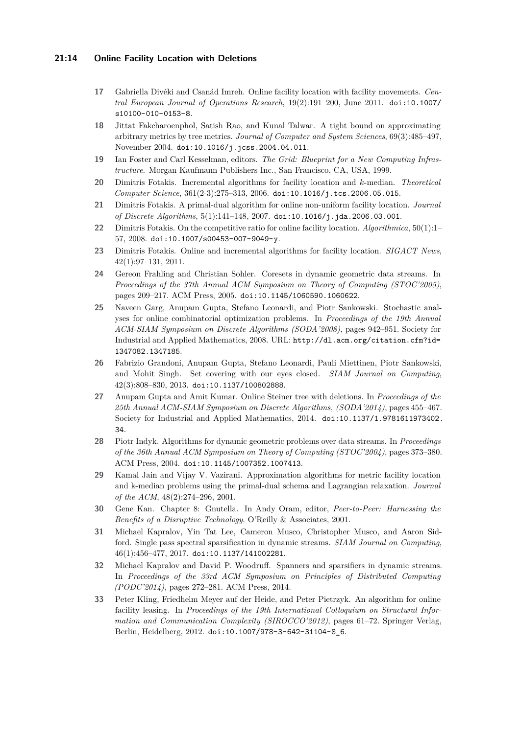### **21:14 Online Facility Location with Deletions**

- <span id="page-13-1"></span>**17** Gabriella Divéki and Csanád Imreh. Online facility location with facility movements. *Central European Journal of Operations Research*, 19(2):191–200, June 2011. [doi:10.1007/](http://dx.doi.org/10.1007/s10100-010-0153-8) [s10100-010-0153-8](http://dx.doi.org/10.1007/s10100-010-0153-8).
- <span id="page-13-16"></span>**18** Jittat Fakcharoenphol, Satish Rao, and Kunal Talwar. A tight bound on approximating arbitrary metrics by tree metrics. *Journal of Computer and System Sciences*, 69(3):485–497, November 2004. [doi:10.1016/j.jcss.2004.04.011](http://dx.doi.org/10.1016/j.jcss.2004.04.011).
- <span id="page-13-9"></span>**19** Ian Foster and Carl Kesselman, editors. *The Grid: Blueprint for a New Computing Infrastructure*. Morgan Kaufmann Publishers Inc., San Francisco, CA, USA, 1999.
- <span id="page-13-2"></span>**20** Dimitris Fotakis. Incremental algorithms for facility location and *k*-median. *Theoretical Computer Science*, 361(2-3):275–313, 2006. [doi:10.1016/j.tcs.2006.05.015](http://dx.doi.org/10.1016/j.tcs.2006.05.015).
- <span id="page-13-3"></span>**21** Dimitris Fotakis. A primal-dual algorithm for online non-uniform facility location. *Journal of Discrete Algorithms*, 5(1):141–148, 2007. [doi:10.1016/j.jda.2006.03.001](http://dx.doi.org/10.1016/j.jda.2006.03.001).
- <span id="page-13-4"></span>**22** Dimitris Fotakis. On the competitive ratio for online facility location. *Algorithmica*, 50(1):1– 57, 2008. [doi:10.1007/s00453-007-9049-y](http://dx.doi.org/10.1007/s00453-007-9049-y).
- <span id="page-13-10"></span>**23** Dimitris Fotakis. Online and incremental algorithms for facility location. *SIGACT News*, 42(1):97–131, 2011.
- <span id="page-13-12"></span>**24** Gereon Frahling and Christian Sohler. Coresets in dynamic geometric data streams. In *Proceedings of the 37th Annual ACM Symposium on Theory of Computing (STOC'2005)*, pages 209–217. ACM Press, 2005. [doi:10.1145/1060590.1060622](http://dx.doi.org/10.1145/1060590.1060622).
- <span id="page-13-5"></span>**25** Naveen Garg, Anupam Gupta, Stefano Leonardi, and Piotr Sankowski. Stochastic analyses for online combinatorial optimization problems. In *Proceedings of the 19th Annual ACM-SIAM Symposium on Discrete Algorithms (SODA'2008)*, pages 942–951. Society for Industrial and Applied Mathematics, 2008. URL: [http://dl.acm.org/citation.cfm?id=](http://dl.acm.org/citation.cfm?id=1347082.1347185) [1347082.1347185](http://dl.acm.org/citation.cfm?id=1347082.1347185).
- <span id="page-13-6"></span>**26** Fabrizio Grandoni, Anupam Gupta, Stefano Leonardi, Pauli Miettinen, Piotr Sankowski, and Mohit Singh. Set covering with our eyes closed. *SIAM Journal on Computing*, 42(3):808–830, 2013. [doi:10.1137/100802888](http://dx.doi.org/10.1137/100802888).
- <span id="page-13-15"></span>**27** Anupam Gupta and Amit Kumar. Online Steiner tree with deletions. In *Proceedings of the 25th Annual ACM-SIAM Symposium on Discrete Algorithms, (SODA'2014)*, pages 455–467. Society for Industrial and Applied Mathematics, 2014. [doi:10.1137/1.9781611973402.](http://dx.doi.org/10.1137/1.9781611973402.34) [34](http://dx.doi.org/10.1137/1.9781611973402.34).
- <span id="page-13-11"></span>**28** Piotr Indyk. Algorithms for dynamic geometric problems over data streams. In *Proceedings of the 36th Annual ACM Symposium on Theory of Computing (STOC'2004)*, pages 373–380. ACM Press, 2004. [doi:10.1145/1007352.1007413](http://dx.doi.org/10.1145/1007352.1007413).
- <span id="page-13-0"></span>**29** Kamal Jain and Vijay V. Vazirani. Approximation algorithms for metric facility location and k-median problems using the primal-dual schema and Lagrangian relaxation. *Journal of the ACM*, 48(2):274–296, 2001.
- <span id="page-13-8"></span>**30** Gene Kan. Chapter 8: Gnutella. In Andy Oram, editor, *Peer-to-Peer: Harnessing the Benefits of a Disruptive Technology*. O'Reilly & Associates, 2001.
- <span id="page-13-13"></span>**31** Michael Kapralov, Yin Tat Lee, Cameron Musco, Christopher Musco, and Aaron Sidford. Single pass spectral sparsification in dynamic streams. *SIAM Journal on Computing*, 46(1):456–477, 2017. [doi:10.1137/141002281](http://dx.doi.org/10.1137/141002281).
- <span id="page-13-14"></span>**32** Michael Kapralov and David P. Woodruff. Spanners and sparsifiers in dynamic streams. In *Proceedings of the 33rd ACM Symposium on Principles of Distributed Computing (PODC'2014)*, pages 272–281. ACM Press, 2014.
- <span id="page-13-7"></span>**33** Peter Kling, Friedhelm Meyer auf der Heide, and Peter Pietrzyk. An algorithm for online facility leasing. In *Proceedings of the 19th International Colloquium on Structural Information and Communication Complexity (SIROCCO'2012)*, pages 61–72. Springer Verlag, Berlin, Heidelberg, 2012. [doi:10.1007/978-3-642-31104-8\\_6](http://dx.doi.org/10.1007/978-3-642-31104-8_6).